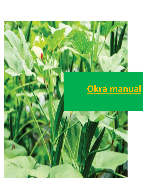

# **Okra manual**

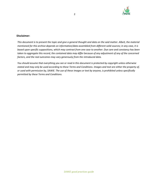

#### **Disclaimer:**

*This document is to present the topic and give a general thought and data on the said matter. Albeit, the material mentioned for this archive depends on information/data assembled from different solid sources; in any case, it is based upon specific suppositions, which may contrast from one case to another. Due care and constancy has been taken to aggregate this record, the contained data may differ because of any adjustment of any of the concerned factors, and the real outcomes may vary generously from the introduced data.*

*You should assume that everything you see or read in this document is protected by copyright unless otherwise stated and may only be used according to these Terms and Conditions. Images and text are either the property of, or used with permission by, SAWiE. The use of these images or text by anyone, is prohibited unless specifically permitted by these Terms and Conditions.*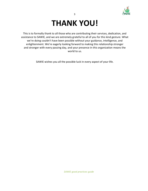

## **THANK YOU!**

This is to formally thank to all those who are contributing their services, dedication, and assistance to SAWIE, and we are extremely grateful to all of you for this kind gesture. What we're doing couldn't have been possible without your guidance, intelligence, and enlightenment. We're eagerly looking forward to making this relationship stronger and stronger with every passing day, and your presence in this organization means the world to us.

SAWIE wishes you all the possible luck in every aspect of your life.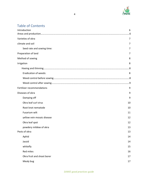

### Table of Contents

| Introduction                 | 6  |
|------------------------------|----|
|                              |    |
| Varieties of okra            | 7  |
| climate and soil             | 7  |
| Seed rate and sowing time:   | 7  |
| Preparation of land          | 7  |
| Method of sowing             | 8  |
| Irrigation                   | 8  |
|                              |    |
| <b>Eradication of weeds:</b> | 8  |
|                              |    |
|                              |    |
| Fertilizer recommendations   | 9  |
| Diseases of okra             | 9  |
| Damping off                  | 9  |
| Okra leaf curl virus         | 10 |
| Root knot nematode           | 10 |
| Fusarium wilt                | 11 |
| yellow vein mosaic disease   | 12 |
| Okra leaf spot               | 12 |
| powdery mildew of okra       | 13 |
| Pests of okra                | 13 |
| Aphid                        | 14 |
| Jassid                       | 14 |
| whitefly                     | 15 |
| Red mites                    | 16 |
| Okra fruit and shoot borer   | 17 |
| Mealy bug                    | 17 |
|                              |    |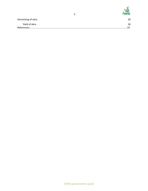

|                   | Harvesting of okra | 18 |
|-------------------|--------------------|----|
|                   | Yield of okra      | 18 |
| 10<br>References. |                    |    |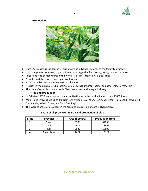

#### <span id="page-5-0"></span>**Introduction**



- Okra (Abelmoschus esculentus L.) also known as ladyfinger belongs to the family Malvaceae
- It is an important summer crop that is used as a vegetable for cooking, frying, or soup purposes
- Important crop of many parts of the world, its origin is tropical Asia and Africa
- Now it is widely grown in many parts of Pakistan
- Pakistan ranked in 5th number in okra cultivation
- It is rich in vitamins (A, B, C), protein, calcium, potassium, iron, iodine, and other mineral materials
- The stem of okra plant rich in crude fiber that is used in the paper industry

#### **Area and production**

- In Pakistan 15529 hectare area is under cultivation with the production of okra is 118986 tons
- Major okra growing cities of Pakistan are Multan, D.G Khan, Rahim yar khan, Faisalabad, Rawalpindi, Gujranwala, Vehari, Okara, and Toba Tek Singh
- The average share of provinces in the area and production of okra is given below:

| Sr.no | <b>Province</b>    | Area (hectare) | <b>Production (tons)</b> |
|-------|--------------------|----------------|--------------------------|
| ı.    | Punjab             | 5909           | 67058                    |
|       | Sindh              | 4915           | 18995                    |
|       | Kpk                | 2083           | 16809                    |
|       | <b>Baluchistan</b> | 2622           | 16124                    |

#### **Share of all provinces in area and production of okra**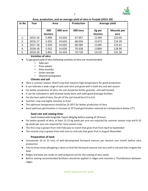

<span id="page-6-0"></span>

| Sr.No | Year    | Area           |          | <b>Production</b> | Average yield     |                           |
|-------|---------|----------------|----------|-------------------|-------------------|---------------------------|
| ٠     |         | 000<br>hectare | 000 acre | 000 tons          | Kg per<br>hectare | <b>Mounds</b> per<br>acre |
| 1.    | 2015-16 | 5.909          | 14.434   | 67.057            | 11349             | 123.05                    |
| 2.    | 2016-17 | 5.932          | 14.634   | 68.056            | 11473             | 124.39                    |
| 3.    | 2017-18 | 5.920          | 14.630   | 68.589            | 11585             | 125.61                    |
| 4.    | 2018-18 | 5.922          | 14.658   | 70.438            | 11894             | 128.96                    |
| 5.    | 2019-20 | 5.841          | 14.434   | 70.739            | 12110             | 131.30                    |

**Area, production, and an average yield of okra in Punjab (2015-20)**

#### **Varieties of okra**

- To get good yield of okra following varieties of okra are recommended:
	- Sabz pari
	- Pusa sawani
	- Arka anamika
	- Green wonder
	- Sharmili (evergreen)

#### **Climate and soil**

- <span id="page-6-1"></span>● Okra is summer season, Kharif crop that requires high temperature for good production
- It can tolerate a wide range of soils and rains and grow well in both dry and wet season
- For better production of okra, the soil should be fertile, granular, and well leveled
- It can be cultivated in well-drained sandy loam soils with good drainage facilities
- For the best yield of okra, the pH of the soil should be 6.0 to 6.8
- Summer crop and highly sensitive to frost
- $\bullet$  The optimum temperature should be 25-30 $\degree$ C for better production of okra
- <span id="page-6-2"></span>• Seed optimum germination is increase at 25 $^{\circ}$ Cand germination reduced at a temperature below 17 $^{\circ}$ C

#### **Seed rate and sowing time:**

#### Seed treated with fungicide Topsin M2g/kg before sowing of 24 hours

- For better growth of okra, at least 12-15 kg seeds per acre are required for summer season crop and 8-10 kg seeds per acre are required for rainy season crop
- The first crop is grown from mid-February to march that gives fruit from April to September
- The second crop is grown from mid-June to mid-July that gives fruit in August-November

#### **Preparation of land:**

- <span id="page-6-3"></span>● Incorporate 20 to 25 tons of well-decomposed farmyard manure per hectare one month before okra production
- Two to three times ploughing is done so that the farmyard manure mix very well in soil and then irrigate the field
- Ridges and beds are made on well-prepared soil for the sowing of okra seeds
- Before sowing recommended fertilizers should be applied in ridges and maintain a 75cmdistance between ridges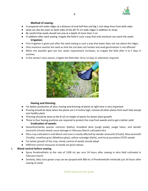

#### **Method of sowing:**

- <span id="page-7-0"></span>In prepared soil make ridges at a distance of and half feet and dig 1 inch deep lines from both sides
- Seed can also be sown on both sides of the 60-75 cm wide ridges in addition to strips
- Be careful that seeds should not sow at a depth of more than 2 cm
- <span id="page-7-1"></span>● In addition after seed sowing, irrigate the field in such a way that only moisture can reach the seeds **Irrigation:**
- First irrigation is given just after the seed sowing in such a way that water does not rise above the ridges
- Only moisture reaches the seed so that the soil does not harden and seed germination is not affected
- When the weather gets too hot, water requirement increases, so irrigate the field after 4 to 5 days in summer
- In the winter/ rainy season, irrigate the field after 10 to 12 days or whenever required



#### **Hoeing and thinning:**

- <span id="page-7-2"></span>● For better production of okra, hoeing and thinning of plants at right time is very important
- Pruning should be done when the plants are 3-4 inches high, remove all other plants from each hole except one healthy plant
- Thinning should be done at the 8-10 cm height of plants for better plant growth
- Three to four hoeing practices are required to protect the crop from weeds and to get a better yield **Eradication of weeds:**
- <span id="page-7-3"></span>● Goosefoot/lambs quarter common (bathu), broadleaf dock (jungli palak), jungle halon, and slender amaranth (chulai) weeds cause damage in February-March cultivated okra
- Okra crop cultivated in mid-March and June is mostly affected by slender amaranth (Chulai), false amaranth (Tandla), crowfoot grass (Madhana ghas), yellow nutsedge (Della), and horse pursalane (ITSIT) weeds
- For better growth of the crop, timely control of weeds should adopt
- Different control measures of weeds are given below:

#### **i. Weed control before sowing**

- Spray Pendimethalin at the rate of 1200 mL per acre 24 hours after sowing in okra field cultivated in February-march
- Similarly, May-June grown crop can be sprayed with 800 mL of Pendimethalin herbicide just 24 hours after sowing of seeds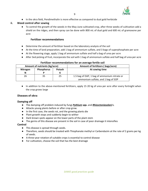

● In the okra field, Pendimethalin is more effective as compared to dual gold herbicide

9

#### **ii. Weed control after sowing**

● To control the growth of the weeds in the May-June cultivated crop, after three weeks of cultivation add a shield on the ridges, and then spray can be done with 800 mL of dual gold and 600 mL of gramoxone per acre

#### **Fertilizer recommendations**

- Determine the amount of fertilizer based on the laboratory analysis of the soil
- At the time of land preparation, add 1 bag of ammonium sulfate, and 3 bags of superphosphate per acre
- At the flowering stage, apply 1 bag of ammonium sulfate and half a bag of urea per acre
- After 3ed picking of fruit, incorporate the soil with 1 bag of ammonium sulfate and half bag of urea per acre

| Amount of nutrients (kg/acre) |            |        | Amount of fertilizers (bags/acre)            |
|-------------------------------|------------|--------|----------------------------------------------|
| Nitrogen                      | Phosphorus | Potash | At sowing time                               |
| N                             |            |        |                                              |
| 26                            | 35         | 25     | 1.5 bag of DAP, 1 bag of ammonium nitrate or |
|                               |            |        | ammonium sulfate, and 1 bag of SOP           |

#### **Fertilizer recommendations for an average fertile soil**

<span id="page-8-0"></span>● In addition to the above-mentioned fertilizers, apply 15 20 kg of urea per acre after every fortnight when the crop grows large

#### **Diseases of okra:**

#### **Damping off**

- The damping-off problem induced by fungi *Pythium* **spp.** and *Rhizoctoniasolani* **L**.
- Attacks young plants before or after crop grow.
- In the first case, the seeds rot, and the growing plants die
- Plant growth stops and suddenly begin to wither
- Dark brown spots appear on the lower parts of the plant stem
- The germs of this disease are present in the soil in case of poor drainage it intensifies

#### **Control**

- This disease is spread through seeds.
- Therefore, seeds should be treated with Thiophanate methyl or Carbendazim at the rate of 2 grams per kg of seeds.
- A three-year rotation of suitable crops is essential to control disease
- For cultivation, choose the soil that has the best drainage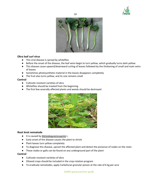



#### **Okra leaf curl virus**

- This viral disease is spread by whiteflies
- Before the onset of the disease, the leaf veins begin to turn yellow, which gradually turns dark yellow.
- This disease cause upward/downward curling of leaves followed by the thickening of small and main veins of leaves
- Sometimes photosynthetic material in the leaves disappears completely
- The fruit also turns yellow, and its size remains small

#### **Control**

- Cultivate resistant varieties of okra
- Whiteflies should be treated from the beginning
- The first few severally affected plants and weeds should be destroyed



#### **Root knot nematode**

- It is caused by *Meloidogyneincognita* L.
- Early onset of the disease causes the plant to shrink
- Plant leaves turn yellow completely
- To diagnose this disease, uproot the affected plant and detect the presence of nodes on the roots
- These nodes or galls can be found on any underground part of the plant

#### **Control**

- Cultivate resistant varieties of okra
- Oilseed crops should be included in the crop rotation program
- To eradicate nematodes, apply Carbofuran granular poison at the rate of 6 kg per acre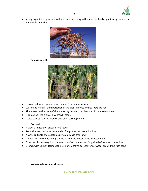

Apply organic compost and well decomposed dung in the affected fields significantly reduce the nematode quantity

11



<span id="page-10-0"></span>**Fusarium wilt:**



- It is caused by an underground fungus *Fusarium oxysporum* L.
- Water and mineral transportation in the plant is stops and its roots are rot
- The leaves on the stem of the plants dry out and the plant dies in one to two days
- It can attack the crop at any growth stage
- It also causes stunted growth and plant turning yellow

#### **Control:**

- Always use healthy, disease-free seeds
- Treat the seeds with recommended fungicides before cultivation
- Always cultivate the vegetables into a disease-free land
- Do not irrigate the healthy plant field from the water of the infected field
- Soak the okra nursery into the solution of recommended fungicide before transplantation
- <span id="page-10-1"></span>Drench with Carbendazim at the rate of 10 grams per 10 liters of water around the root zone

**Yellow vein mosaic disease:**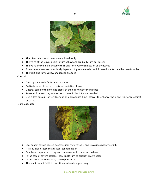



- This disease is spread permanently by whitefly.
- The veins of the leaves begin to turn yellow and gradually turn dark green
- The veins and vein lets become thick and form yellowish nets on all the leaves
- Sometimes leaves are completely depleted of green material, and diseased plants could be seen from far
- The fruit also turns yellow and its size dropped

#### **Control:**

- Destroy the weeds far from okra plants
- Cultivates one of the most resistant varieties of okra
- Destroy some of the infected plants at the beginning of the disease
- To control sap-sucking insects use of insecticides is Recommended
- Use a less amount of fertilizers at an appropriate time interval to enhance the plant resistance against diseases

#### <span id="page-11-0"></span>**Okra leaf spot:**



- Leaf spot in okra is caused by*Cercospora malayensis* L. and *Cercospora abelmoschi* L.
- It is a fungal disease that causes leaf defoliation
- Small moist spots start to appear on leaves which later turn yellow
- In the case of severe attacks, these spots turn to blackish brown color
- In the case of extreme heat, these spots mixed
- The plant cannot fulfill its nutritional values in a good way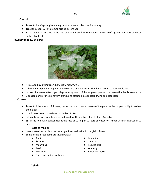

#### **Control:**

- To control leaf spots, give enough space between plants while sowing
- Treat the seeds with thiram fungicide before use
- Take spray of mancozeb at the rate of 4 grams per liter or captan at the rate of 2 grams per liters of water in the okra field

#### <span id="page-12-0"></span>**Powdery mildew of okra:**



- It is caused by a fungus *Erysiphe cichoracearum* L.
- White minute patches appear on the surface of older leaves that later spread to younger leaves
- In case of a severe attack, greyish powdery growth of the fungus appear on the leaves that leads to necrosis
- Diseased parts of the plant turn brown and affected leaves start drying and defoliated

#### **Control:**

- To control the spread of disease, prune the overcrowded leaves of the plant so the proper sunlight reaches the plants
- Use disease-free and resistant varieties of okra
- Intercultural practices should be followed for the control of host plants (weeds)
- Spray the field with penconazol at the rate of 10 ml per 10 liters of water for 4 times with an interval of 10 day

#### **Pests of maize:**

- <span id="page-12-1"></span>● Insects attack okra plant causes a significant reduction in the yield of okra
- Some of the insect pests are given below:
	-
	-
	-
	-
	-
	- Okra fruit and shoot borer
	- Aphid Leaf miner
	- Termite Cutworm
	- Mealy bug extending the set of the Painted bug
	- Jassid Whitefly
		- Red mite **American** worm

#### <span id="page-12-2"></span>**Aphid:**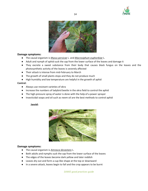



#### **Damage symptoms:**

- The causal organism is *Myzus persicae* L. and *Macrosiphum euphorbiae* L.
- Adult and nymph of aphid suck the sap from the lower surface of the leaves and damage it
- They excrete a sweet substance from their body that causes black fungus on the leaves and the photosynthetic activity of the leaves is severely affected
- Their attack is intense from mid-February to March
- The growth of small plants stops and they do not produce much
- High humidity and low temperature are helpful in the growth of aphid

#### **Control:**

- Always use resistant varieties of okra
- Increase the numbers of ladybird beetle in the okra field to control the aphid
- The high-pressure spray of water is done with the help of a power sprayer
- <span id="page-13-0"></span>Insecticidal soaps and oil such as neem oil are the best methods to control aphid

#### **Jassid:**



#### **Damage symptoms:**

- The causal organism is *Amrasca devastans* L.
- Both adults and nymphs suck the sap from the lower surface of the leaves
- The edges of the leaves become dark yellow and later reddish
- Leaves dry out and form a cup-like shape at the top or downward
- In a severe attack, leaves begin to fall and the crop appears to be burnt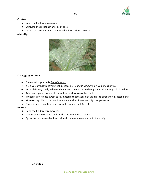

#### **Control:**

- Keep the field free from weeds
- Cultivate the resistant varieties of okra
- In case of severe attack recommended insecticides are used

#### <span id="page-14-0"></span> **Whitefly:**



#### **Damage symptoms:**

- The causal organism is *Bemisia tabaci* L.
- It is a vector that transmits viral diseases i.e., leaf curl virus, yellow vein mosaic virus
- Its moth is very small, yellowish body, and covered with white powder that's why it looks white
- Adult and nymph both suck the cell sap and weakens the plants
- Whitefly also release sweet sticky material that causes black fungus to appear on infected parts
- More susceptible to the conditions such as dry climate and high temperature
- Found in large quantities on vegetables in June and August

#### **Control:**

- Keep the field free from weeds
- Always sow the treated seeds at the recommended distance
- Spray the recommended insecticides in case of a severe attack of whitefly

**Red mites:**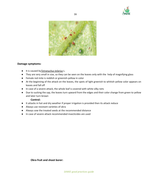



#### **Damage symptoms:**

- It is caused by*Tetranychus telarius* L.
- They are very small in size, so they can be seen on the leaves only with the help of magnifying glass
- Female red mite is reddish or greenish-yellow in color
- At the beginning of the attack on the leaves, the spots of light greenish to whitish-yellow color appears on leaves and fall off
- In case of a severe attack, the whole leaf is covered with white silky nets
- Due to sucking the sap, the leaves turn upward from the edges and their color change from green to yellow and later turn brown

#### **Control:**

- It attacks in hot and dry weather if proper irrigation is provided then its attack reduce
- Always use resistant varieties of okra
- Always sow the treated seeds at the recommended distance
- <span id="page-15-0"></span>● In case of severe attack recommended insecticides are used

**Okra fruit and shoot borer:**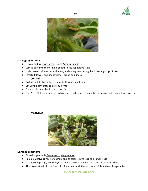



#### **Damage symptoms:**

- It is caused by *Earias vitella* L. and *Earias insulana* L.
- Larvae bore into the terminal shoots in the vegetative stage
- It also attacks flower buds, flowers, and young fruit during the flowering stage of okra
- Infected flowers and shoot wither, droop and dry up

#### **Control:**

- Collect and destroy infected shoots, flowers, and fruits
- Set up the light traps to destroy larvae
- Do not cultivate okra in the cotton field
- <span id="page-16-0"></span>● Use 20 to 30 trichogramma cards per acre and change them after discussing with agricultural experts

#### **Mealybug:**



#### **Damage symptoms:**

- Causal organism is *Pseudococcu slongispinus* L.
- Female Mealybug has no feathers and its color is light reddish a larval stage
- At the young stage, a thick layer of white powder solidifies on it and become very hard
- This insect attacks in the form of colonies and suck the sap from soft branches of vegetables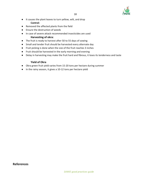

- <span id="page-17-0"></span>● It causes the plant leaves to turn yellow, wilt, and drop **Control:**
- Removed the affected plants from the field
- Ensure the destruction of weeds
- In case of severe attack recommended insecticides are used **Harvesting of okra:**
- The fruit is ready to harvest after 50 to 55 days of sowing
- Small and tender fruit should be harvested every alternate day
- Fruit picking is done when the size of the fruit reaches 3 inches
- Fruit should be harvested in the early morning and evening
- <span id="page-17-1"></span>● Delay in harvesting may make the fruit hard and fibrous, it loses its tenderness and taste

#### **Yield of Okra**

- Okra green fruit yield varies from 15-20 tons per hectare during summer
- In the rainy season, it gives a 10-12 tons per hectare yield

**References**